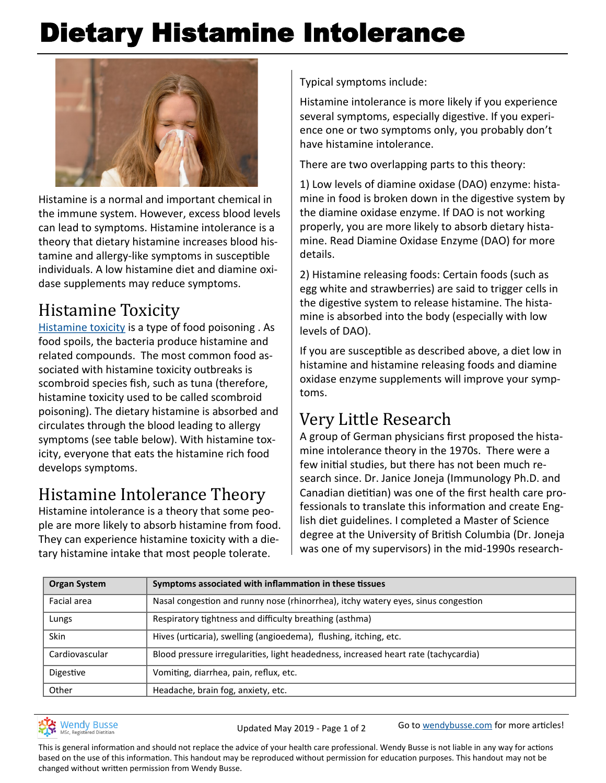# Dietary Histamine Intolerance



Histamine is a normal and important chemical in the immune system. However, excess blood levels can lead to symptoms. Histamine intolerance is a theory that dietary histamine increases blood histamine and allergy-like symptoms in susceptible individuals. A low histamine diet and diamine oxidase supplements may reduce symptoms.

## Histamine Toxicity

[Histamine toxicity](http://www.aaaai.org/conditions-and-treatments/related-conditions/histamine-toxicity) is a type of food poisoning . As food spoils, the bacteria produce histamine and related compounds. The most common food associated with histamine toxicity outbreaks is scombroid species fish, such as tuna (therefore, histamine toxicity used to be called scombroid poisoning). The dietary histamine is absorbed and circulates through the blood leading to allergy symptoms (see table below). With histamine toxicity, everyone that eats the histamine rich food develops symptoms.

## Histamine Intolerance Theory

Histamine intolerance is a theory that some people are more likely to absorb histamine from food. They can experience histamine toxicity with a dietary histamine intake that most people tolerate.

Typical symptoms include:

Histamine intolerance is more likely if you experience several symptoms, especially digestive. If you experience one or two symptoms only, you probably don't have histamine intolerance.

There are two overlapping parts to this theory:

1) Low levels of diamine oxidase (DAO) enzyme: histamine in food is broken down in the digestive system by the diamine oxidase enzyme. If DAO is not working properly, you are more likely to absorb dietary histamine. Read Diamine Oxidase Enzyme (DAO) for more details.

2) Histamine releasing foods: Certain foods (such as egg white and strawberries) are said to trigger cells in the digestive system to release histamine. The histamine is absorbed into the body (especially with low levels of DAO).

If you are susceptible as described above, a diet low in histamine and histamine releasing foods and diamine oxidase enzyme supplements will improve your symptoms.

## Very Little Research

A group of German physicians first proposed the histamine intolerance theory in the 1970s. There were a few initial studies, but there has not been much research since. Dr. Janice Joneja (Immunology Ph.D. and Canadian dietitian) was one of the first health care professionals to translate this information and create English diet guidelines. I completed a Master of Science degree at the University of British Columbia (Dr. Joneja was one of my supervisors) in the mid-1990s research-

| <b>Organ System</b> | Symptoms associated with inflammation in these tissues                              |
|---------------------|-------------------------------------------------------------------------------------|
| Facial area         | Nasal congestion and runny nose (rhinorrhea), itchy watery eyes, sinus congestion   |
| Lungs               | Respiratory tightness and difficulty breathing (asthma)                             |
| <b>Skin</b>         | Hives (urticaria), swelling (angioedema), flushing, itching, etc.                   |
| Cardiovascular      | Blood pressure irregularities, light headedness, increased heart rate (tachycardia) |
| Digestive           | Vomiting, diarrhea, pain, reflux, etc.                                              |
| Other               | Headache, brain fog, anxiety, etc.                                                  |



Updated May 2019 - Page 1 of 2 Go to [wendybusse.com](http://www.wendybusse.com/) for more articles!

This is general information and should not replace the advice of your health care professional. Wendy Busse is not liable in any way for actions based on the use of this information. This handout may be reproduced without permission for education purposes. This handout may not be changed without written permission from Wendy Busse.